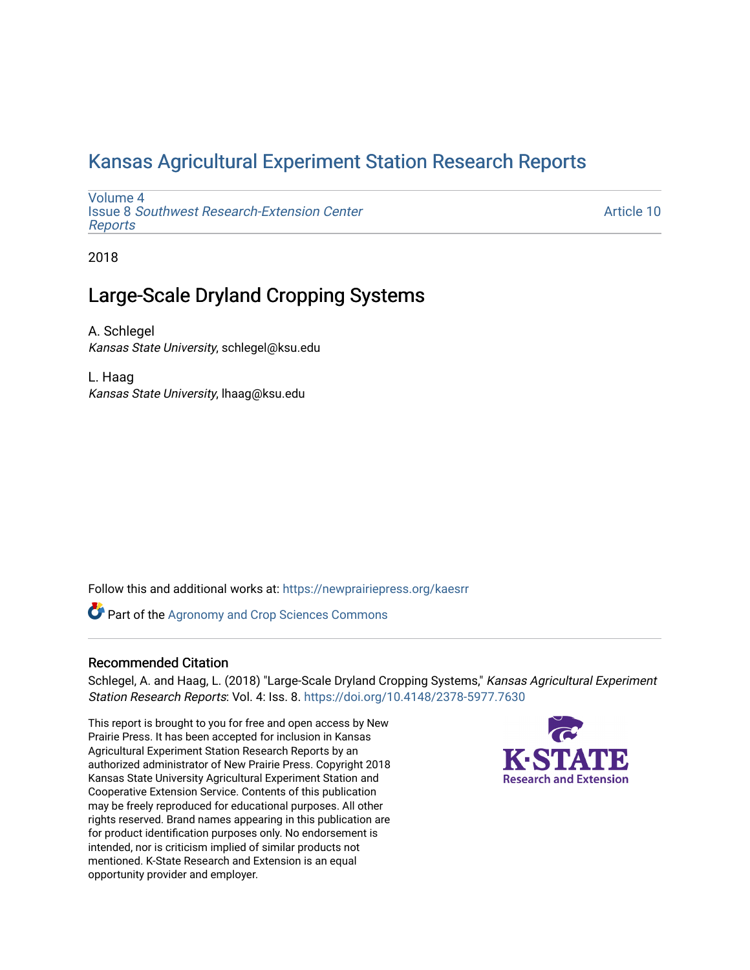# [Kansas Agricultural Experiment Station Research Reports](https://newprairiepress.org/kaesrr)

[Volume 4](https://newprairiepress.org/kaesrr/vol4) Issue 8 [Southwest Research-Extension Center](https://newprairiepress.org/kaesrr/vol4/iss8)  [Reports](https://newprairiepress.org/kaesrr/vol4/iss8)

[Article 10](https://newprairiepress.org/kaesrr/vol4/iss8/10) 

2018

# Large-Scale Dryland Cropping Systems

A. Schlegel Kansas State University, schlegel@ksu.edu

L. Haag Kansas State University, lhaag@ksu.edu

Follow this and additional works at: [https://newprairiepress.org/kaesrr](https://newprairiepress.org/kaesrr?utm_source=newprairiepress.org%2Fkaesrr%2Fvol4%2Fiss8%2F10&utm_medium=PDF&utm_campaign=PDFCoverPages) 

**Part of the Agronomy and Crop Sciences Commons** 

#### Recommended Citation

Schlegel, A. and Haag, L. (2018) "Large-Scale Dryland Cropping Systems," Kansas Agricultural Experiment Station Research Reports: Vol. 4: Iss. 8.<https://doi.org/10.4148/2378-5977.7630>

This report is brought to you for free and open access by New Prairie Press. It has been accepted for inclusion in Kansas Agricultural Experiment Station Research Reports by an authorized administrator of New Prairie Press. Copyright 2018 Kansas State University Agricultural Experiment Station and Cooperative Extension Service. Contents of this publication may be freely reproduced for educational purposes. All other rights reserved. Brand names appearing in this publication are for product identification purposes only. No endorsement is intended, nor is criticism implied of similar products not mentioned. K-State Research and Extension is an equal opportunity provider and employer.

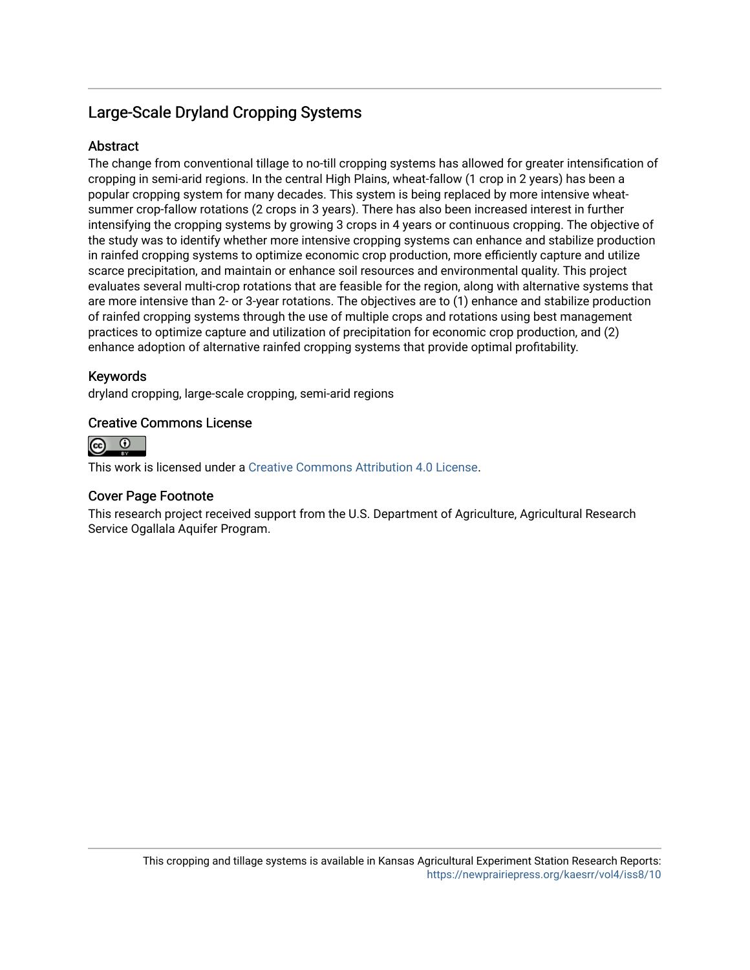### Large-Scale Dryland Cropping Systems

### **Abstract**

The change from conventional tillage to no-till cropping systems has allowed for greater intensification of cropping in semi-arid regions. In the central High Plains, wheat-fallow (1 crop in 2 years) has been a popular cropping system for many decades. This system is being replaced by more intensive wheatsummer crop-fallow rotations (2 crops in 3 years). There has also been increased interest in further intensifying the cropping systems by growing 3 crops in 4 years or continuous cropping. The objective of the study was to identify whether more intensive cropping systems can enhance and stabilize production in rainfed cropping systems to optimize economic crop production, more efficiently capture and utilize scarce precipitation, and maintain or enhance soil resources and environmental quality. This project evaluates several multi-crop rotations that are feasible for the region, along with alternative systems that are more intensive than 2- or 3-year rotations. The objectives are to (1) enhance and stabilize production of rainfed cropping systems through the use of multiple crops and rotations using best management practices to optimize capture and utilization of precipitation for economic crop production, and (2) enhance adoption of alternative rainfed cropping systems that provide optimal profitability.

### Keywords

dryland cropping, large-scale cropping, semi-arid regions

### Creative Commons License



This work is licensed under a [Creative Commons Attribution 4.0 License](https://creativecommons.org/licenses/by/4.0/).

### Cover Page Footnote

This research project received support from the U.S. Department of Agriculture, Agricultural Research Service Ogallala Aquifer Program.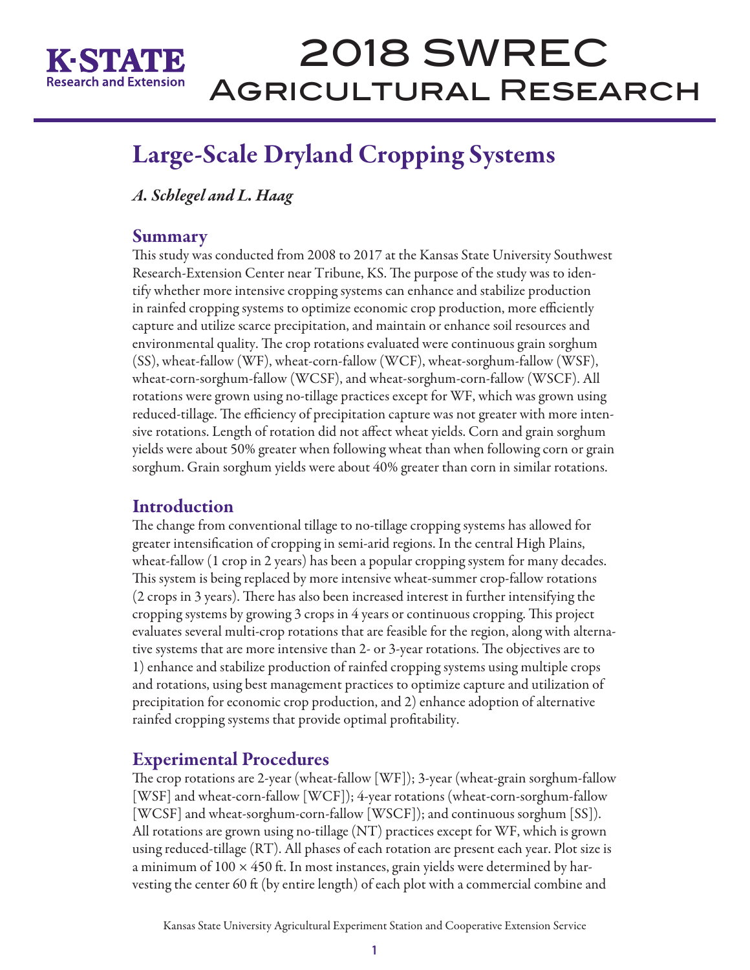

# 2018 SWREC Agricultural Research

# Large-Scale Dryland Cropping Systems

*A. Schlegel and L. Haag*

### Summary

This study was conducted from 2008 to 2017 at the Kansas State University Southwest Research-Extension Center near Tribune, KS. The purpose of the study was to identify whether more intensive cropping systems can enhance and stabilize production in rainfed cropping systems to optimize economic crop production, more efficiently capture and utilize scarce precipitation, and maintain or enhance soil resources and environmental quality. The crop rotations evaluated were continuous grain sorghum (SS), wheat-fallow (WF), wheat-corn-fallow (WCF), wheat-sorghum-fallow (WSF), wheat-corn-sorghum-fallow (WCSF), and wheat-sorghum-corn-fallow (WSCF). All rotations were grown using no-tillage practices except for WF, which was grown using reduced-tillage. The efficiency of precipitation capture was not greater with more intensive rotations. Length of rotation did not affect wheat yields. Corn and grain sorghum yields were about 50% greater when following wheat than when following corn or grain sorghum. Grain sorghum yields were about 40% greater than corn in similar rotations.

### Introduction

The change from conventional tillage to no-tillage cropping systems has allowed for greater intensification of cropping in semi-arid regions. In the central High Plains, wheat-fallow (1 crop in 2 years) has been a popular cropping system for many decades. This system is being replaced by more intensive wheat-summer crop-fallow rotations (2 crops in 3 years). There has also been increased interest in further intensifying the cropping systems by growing 3 crops in 4 years or continuous cropping. This project evaluates several multi-crop rotations that are feasible for the region, along with alternative systems that are more intensive than 2- or 3-year rotations. The objectives are to 1) enhance and stabilize production of rainfed cropping systems using multiple crops and rotations, using best management practices to optimize capture and utilization of precipitation for economic crop production, and 2) enhance adoption of alternative rainfed cropping systems that provide optimal profitability.

## Experimental Procedures

The crop rotations are 2-year (wheat-fallow [WF]); 3-year (wheat-grain sorghum-fallow [WSF] and wheat-corn-fallow [WCF]); 4-year rotations (wheat-corn-sorghum-fallow [WCSF] and wheat-sorghum-corn-fallow [WSCF]); and continuous sorghum [SS]). All rotations are grown using no-tillage (NT) practices except for WF, which is grown using reduced-tillage (RT). All phases of each rotation are present each year. Plot size is a minimum of  $100 \times 450$  ft. In most instances, grain yields were determined by harvesting the center 60 ft (by entire length) of each plot with a commercial combine and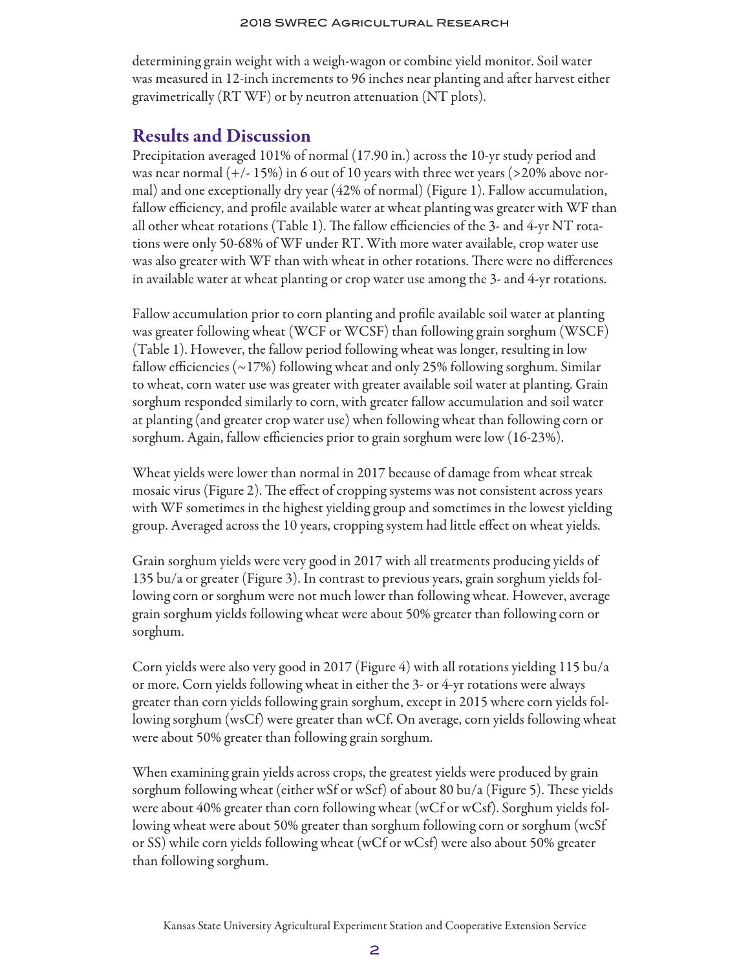determining grain weight with a weigh-wagon or combine yield monitor. Soil water was measured in 12-inch increments to 96 inches near planting and after harvest either gravimetrically (RT WF) or by neutron attenuation (NT plots).

### Results and Discussion

Precipitation averaged 101% of normal (17.90 in.) across the 10-yr study period and was near normal  $(+/- 15%)$  in 6 out of 10 years with three wet years (>20% above normal) and one exceptionally dry year (42% of normal) (Figure 1). Fallow accumulation, fallow efficiency, and profile available water at wheat planting was greater with WF than all other wheat rotations (Table 1). The fallow efficiencies of the 3- and 4-yr NT rotations were only 50-68% of WF under RT. With more water available, crop water use was also greater with WF than with wheat in other rotations. There were no differences in available water at wheat planting or crop water use among the 3- and 4-yr rotations.

Fallow accumulation prior to corn planting and profile available soil water at planting was greater following wheat (WCF or WCSF) than following grain sorghum (WSCF) (Table 1). However, the fallow period following wheat was longer, resulting in low fallow efficiencies  $(\sim 17\%)$  following wheat and only 25% following sorghum. Similar to wheat, corn water use was greater with greater available soil water at planting. Grain sorghum responded similarly to corn, with greater fallow accumulation and soil water at planting (and greater crop water use) when following wheat than following corn or sorghum. Again, fallow efficiencies prior to grain sorghum were low (16-23%).

Wheat yields were lower than normal in 2017 because of damage from wheat streak mosaic virus (Figure 2). The effect of cropping systems was not consistent across years with WF sometimes in the highest yielding group and sometimes in the lowest yielding group. Averaged across the 10 years, cropping system had little effect on wheat yields.

Grain sorghum yields were very good in 2017 with all treatments producing yields of 135 bu/a or greater (Figure 3). In contrast to previous years, grain sorghum yields following corn or sorghum were not much lower than following wheat. However, average grain sorghum yields following wheat were about 50% greater than following corn or sorghum.

Corn yields were also very good in 2017 (Figure 4) with all rotations yielding 115 bu/a or more. Corn yields following wheat in either the 3- or 4-yr rotations were always greater than corn yields following grain sorghum, except in 2015 where corn yields following sorghum (wsCf) were greater than wCf. On average, corn yields following wheat were about 50% greater than following grain sorghum.

When examining grain yields across crops, the greatest yields were produced by grain sorghum following wheat (either wSf or wScf) of about 80 bu/a (Figure 5). These yields were about 40% greater than corn following wheat (wCf or wCsf). Sorghum yields following wheat were about 50% greater than sorghum following corn or sorghum (wcSf or SS) while corn yields following wheat (wCf or wCsf) were also about 50% greater than following sorghum.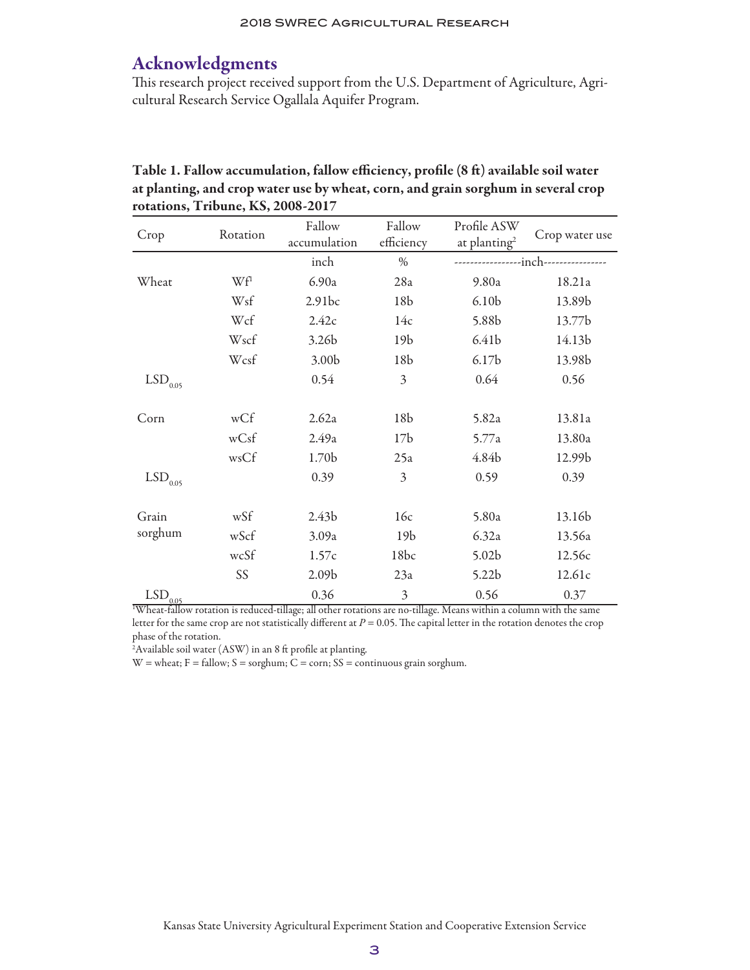### Acknowledgments

This research project received support from the U.S. Department of Agriculture, Agricultural Research Service Ogallala Aquifer Program.

| Crop                     | Rotation | Fallow<br>accumulation                                                                                                                 | Fallow<br>efficiency    | Profile ASW<br>at planting <sup>2</sup> | Crop water use |
|--------------------------|----------|----------------------------------------------------------------------------------------------------------------------------------------|-------------------------|-----------------------------------------|----------------|
|                          |          | inch                                                                                                                                   | $\%$                    | --------------inch----------------      |                |
| Wheat                    | Wf       | 6.90a                                                                                                                                  | 28a                     | 9.80a                                   | 18.21a         |
|                          | Wsf      | 2.91bc                                                                                                                                 | 18 <sub>b</sub>         | 6.10 <sub>b</sub>                       | 13.89b         |
|                          | Wcf      | 2.42c                                                                                                                                  | 14c                     | 5.88b                                   | 13.77b         |
|                          | Wscf     | 3.26b                                                                                                                                  | 19 <sub>b</sub>         | 6.41 <sub>b</sub>                       | 14.13b         |
|                          | Wcsf     | 3.00b                                                                                                                                  | 18 <sub>b</sub>         | 6.17 <sub>b</sub>                       | 13.98b         |
| $\mathrm{LSD}_{_{0.05}}$ |          | 0.54                                                                                                                                   | 3                       | 0.64                                    | 0.56           |
| Corn                     | wCf      | 2.62a                                                                                                                                  | 18 <sub>b</sub>         | 5.82a                                   | 13.81a         |
|                          | wCsf     | 2.49a                                                                                                                                  | 17 <sub>b</sub>         | 5.77a                                   | 13.80a         |
|                          | wsCf     | 1.70b                                                                                                                                  | 25a                     | 4.84b                                   | 12.99b         |
| $\mathrm{LSD}_{_{0.05}}$ |          | 0.39                                                                                                                                   | 3                       | 0.59                                    | 0.39           |
| Grain                    | wSf      | 2.43 <sub>b</sub>                                                                                                                      | 16c                     | 5.80a                                   | 13.16b         |
| sorghum                  | wScf     | 3.09a                                                                                                                                  | 19 <sub>b</sub>         | 6.32a                                   | 13.56a         |
|                          | wcSf     | 1.57c                                                                                                                                  | 18bc                    | 5.02 <sub>b</sub>                       | 12.56c         |
|                          | SS       | 2.09b                                                                                                                                  | 23a                     | 5.22 <sub>b</sub>                       | 12.61c         |
| $LSD_{\underline{0.05}}$ |          | 0.36<br><sup>1</sup> Wheat-fallow rotation is reduced-tillage; all other rotations are no-tillage. Means within a column with the same | $\overline{\mathbf{3}}$ | 0.56                                    | 0.37           |

### Table 1. Fallow accumulation, fallow efficiency, profile (8 ft) available soil water at planting, and crop water use by wheat, corn, and grain sorghum in several crop rotations, Tribune, KS, 2008-2017

letter for the same crop are not statistically different at *P* = 0.05. The capital letter in the rotation denotes the crop phase of the rotation.

2 Available soil water (ASW) in an 8 ft profile at planting.

 $W =$  wheat;  $F =$  fallow;  $S =$  sorghum;  $C =$  corn;  $SS =$  continuous grain sorghum.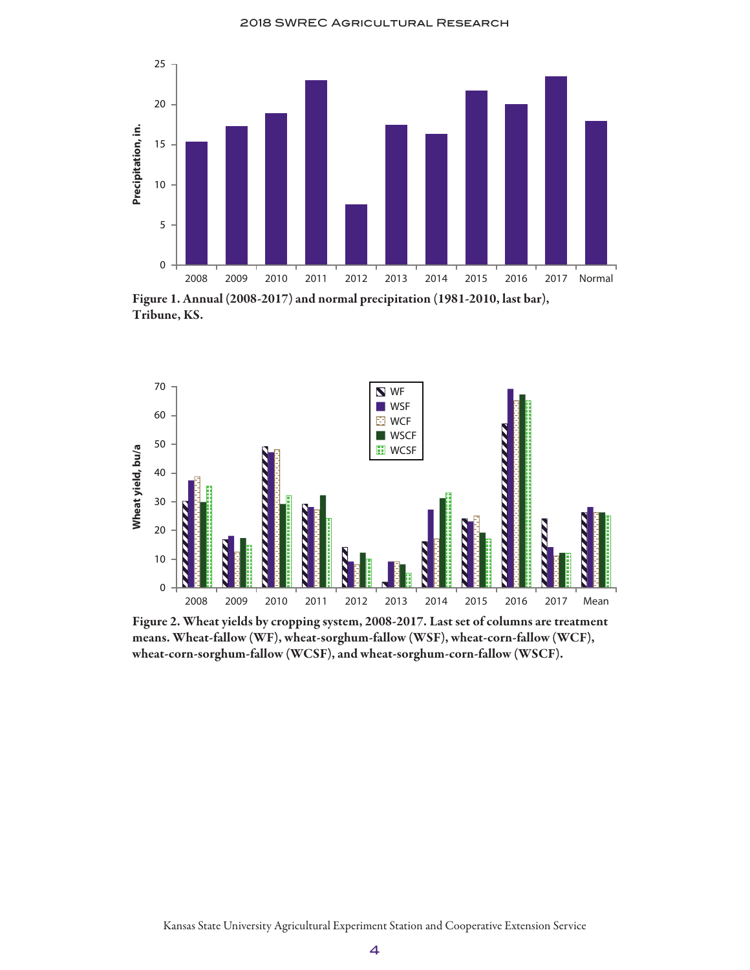

Figure 1. Annual (2008-2017) and normal precipitation (1981-2010, last bar), Tribune, KS.



Figure 2. Wheat yields by cropping system, 2008-2017. Last set of columns are treatment means. Wheat-fallow (WF), wheat-sorghum-fallow (WSF), wheat-corn-fallow (WCF), wheat-corn-sorghum-fallow (WCSF), and wheat-sorghum-corn-fallow (WSCF).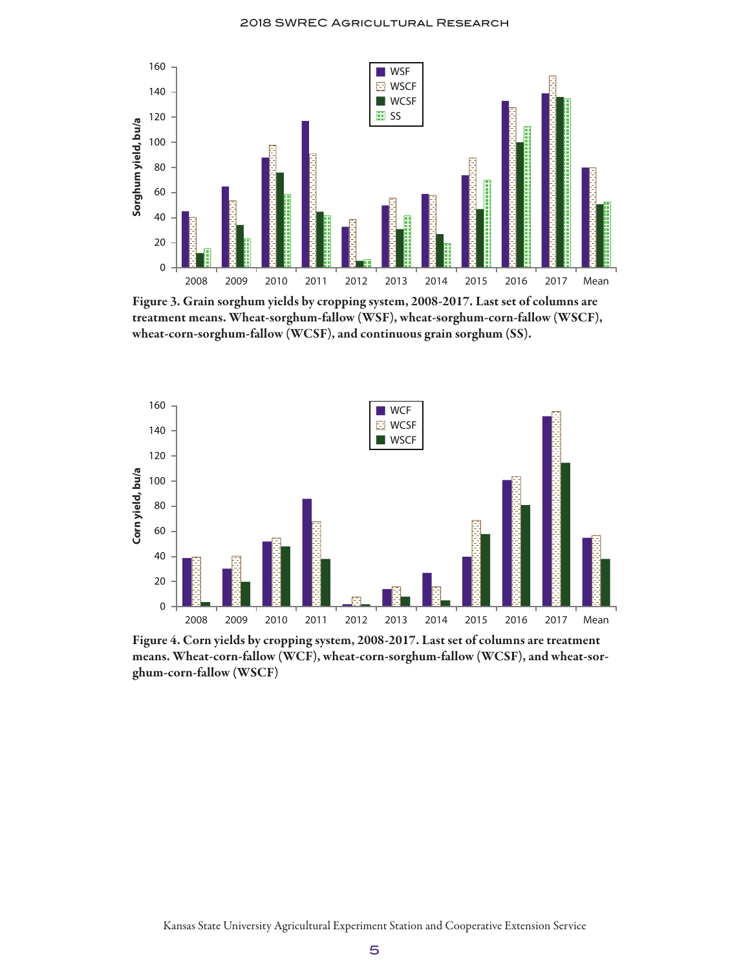

Figure 3. Grain sorghum yields by cropping system, 2008-2017. Last set of columns are treatment means. Wheat-sorghum-fallow (WSF), wheat-sorghum-corn-fallow (WSCF), wheat-corn-sorghum-fallow (WCSF), and continuous grain sorghum (SS).



Figure 4. Corn yields by cropping system, 2008-2017. Last set of columns are treatment means. Wheat-corn-fallow (WCF), wheat-corn-sorghum-fallow (WCSF), and wheat-sorghum-corn-fallow (WSCF)